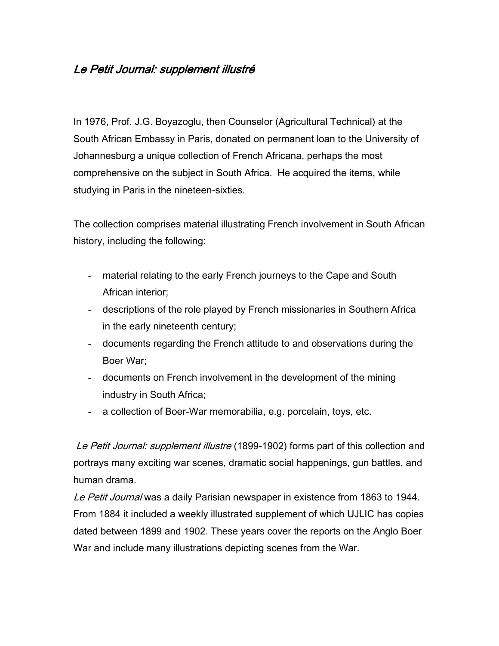## Le Petit Journal: supplement illustré

In 1976, Prof. J.G. Boyazoglu, then Counselor (Agricultural Technical) at the South African Embassy in Paris, donated on permanent loan to the University of Johannesburg a unique collection of French Africana, perhaps the most comprehensive on the subject in South Africa. He acquired the items, while studying in Paris in the nineteen-sixties.

The collection comprises material illustrating French involvement in South African history, including the following:

- material relating to the early French journeys to the Cape and South African interior;
- descriptions of the role played by French missionaries in Southern Africa in the early nineteenth century;
- documents regarding the French attitude to and observations during the Boer War;
- documents on French involvement in the development of the mining industry in South Africa;
- a collection of Boer-War memorabilia, e.g. porcelain, toys, etc.

Le Petit Journal: supplement illustre (1899-1902) forms part of this collection and portrays many exciting war scenes, dramatic social happenings, gun battles, and human drama.

Le Petit Journal was a daily Parisian newspaper in existence from 1863 to 1944. From 1884 it included a weekly illustrated supplement of which UJLIC has copies dated between 1899 and 1902. These years cover the reports on the Anglo Boer War and include many illustrations depicting scenes from the War.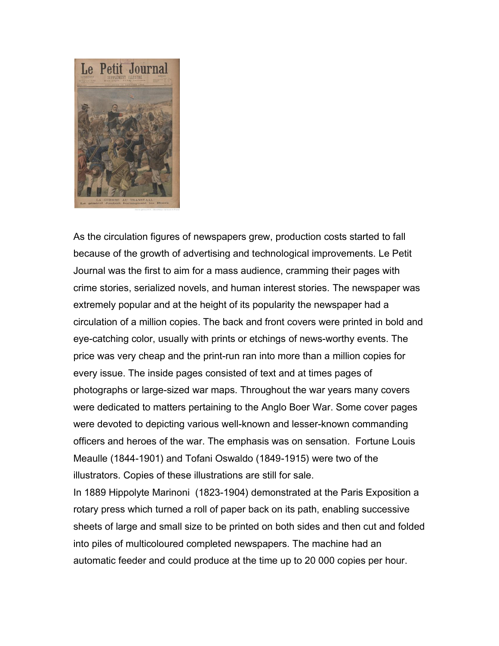

As the circulation figures of newspapers grew, production costs started to fall because of the growth of advertising and technological improvements. Le Petit Journal was the first to aim for a mass audience, cramming their pages with crime stories, serialized novels, and human interest stories. The newspaper was extremely popular and at the height of its popularity the newspaper had a circulation of a million copies. The back and front covers were printed in bold and eye-catching color, usually with prints or etchings of news-worthy events. The price was very cheap and the print-run ran into more than a million copies for every issue. The inside pages consisted of text and at times pages of photographs or large-sized war maps. Throughout the war years many covers were dedicated to matters pertaining to the Anglo Boer War. Some cover pages were devoted to depicting various well-known and lesser-known commanding officers and heroes of the war. The emphasis was on sensation. Fortune Louis Meaulle (1844-1901) and Tofani Oswaldo (1849-1915) were two of the illustrators. Copies of these illustrations are still for sale.

In 1889 Hippolyte Marinoni (1823-1904) demonstrated at the Paris Exposition a rotary press which turned a roll of paper back on its path, enabling successive sheets of large and small size to be printed on both sides and then cut and folded into piles of multicoloured completed newspapers. The machine had an automatic feeder and could produce at the time up to 20 000 copies per hour.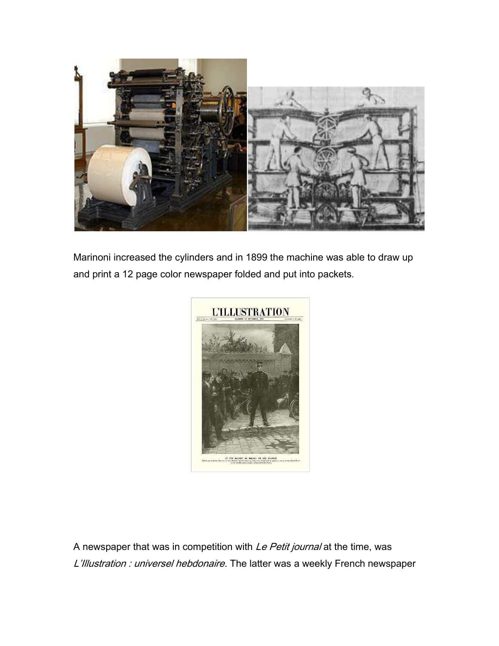

Marinoni increased the cylinders and in 1899 the machine was able to draw up and print a 12 page color newspaper folded and put into packets.



A newspaper that was in competition with Le Petit journal at the time, was L'Illustration : universel hebdonaire. The latter was a weekly French newspaper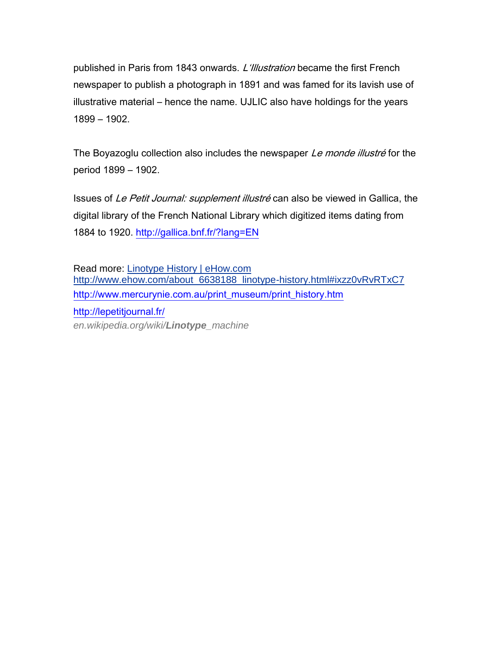published in Paris from 1843 onwards. L'illustration became the first French newspaper to publish a photograph in 1891 and was famed for its lavish use of illustrative material – hence the name. UJLIC also have holdings for the years 1899 – 1902.

The Boyazoglu collection also includes the newspaper Le monde illustré for the period 1899 – 1902.

Issues of Le Petit Journal: supplement illustré can also be viewed in Gallica, the digital library of the French National Library which digitized items dating from 1884 to 1920.<http://gallica.bnf.fr/?lang=EN>

Read more: [Linotype History | eHow.com](http://www.ehow.com/about_6638188_linotype-history.html#ixzz0vRvRTxC7) http://www.ehow.com/about 6638188 linotype-history.html#ixzz0vRvRTxC7 [http://www.mercurynie.com.au/print\\_museum/print\\_history.htm](http://www.mercurynie.com.au/print_museum/print_history.htm) <http://lepetitjournal.fr/> *en.wikipedia.org/wiki/Linotype\_machine*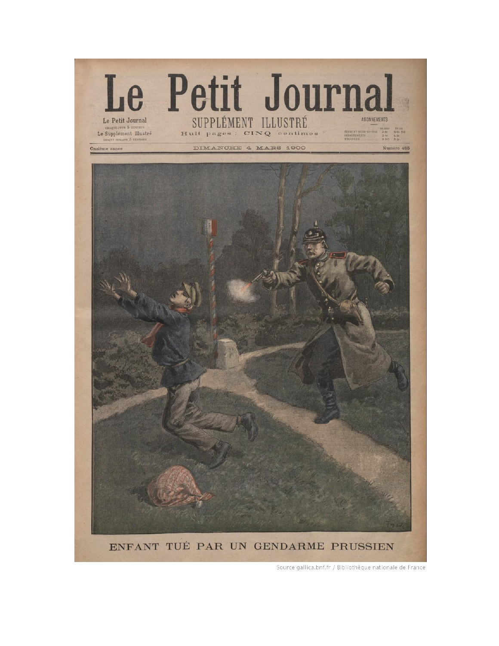

Source gallica.bnf.fr / Bibliothèque nationale de France